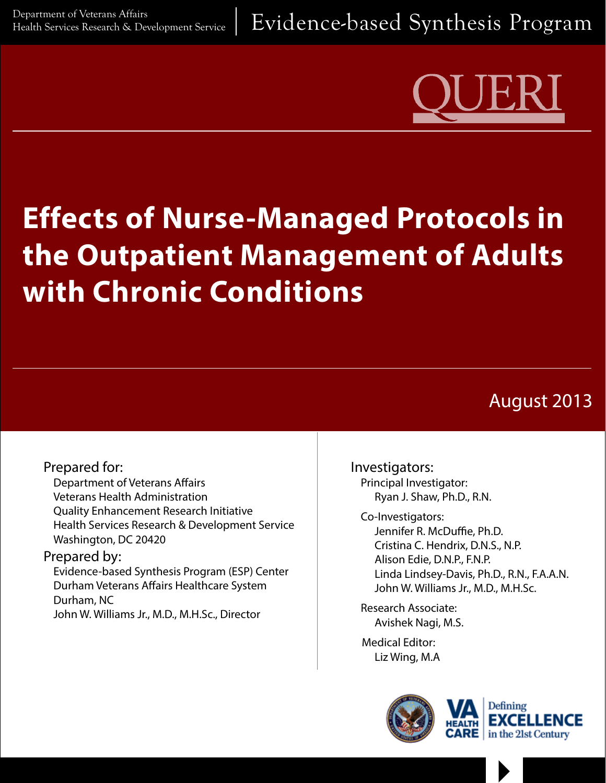

# **Effects of Nurse-Managed Protocols in the Outpatient Management of Adults with Chronic Conditions**

# August 2013

#### Prepared for:

Department of Veterans Affairs Veterans Health Administration Quality Enhancement Research Initiative Health Services Research & Development Service Washington, DC 20420

#### Prepared by:

Evidence-based Synthesis Program (ESP) Center Durham Veterans Affairs Healthcare System Durham, NC John W. Williams Jr., M.D., M.H.Sc., Director

#### Investigators:

Principal Investigator: Ryan J. Shaw, Ph.D., R.N.

Co-Investigators: Jennifer R. McDuffie, Ph.D. Cristina C. Hendrix, D.N.S., N.P. Alison Edie, D.N.P., F.N.P.

Linda Lindsey-Davis, Ph.D., R.N., F.A.A.N. John W. Williams Jr., M.D., M.H.Sc.

Research Associate: Avishek Nagi, M.S.

Medical Editor: Liz Wing, M.A



 $\blacktriangleright$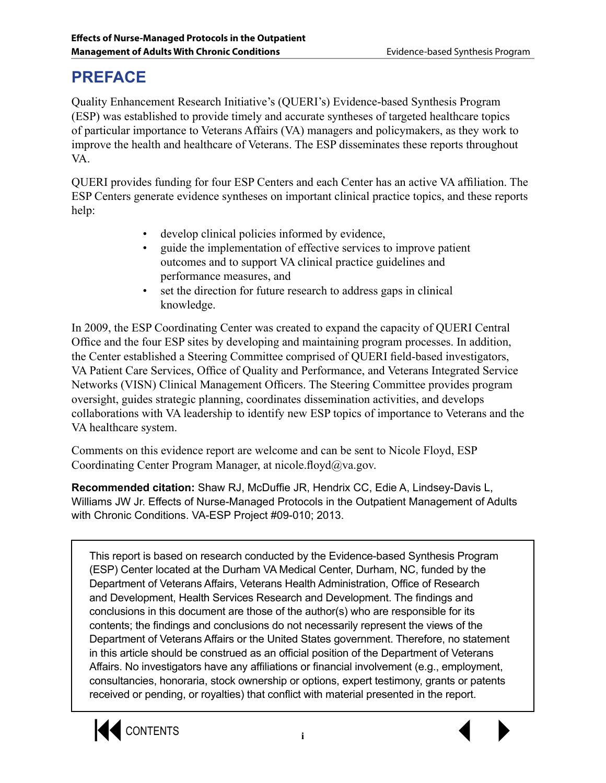# **PREFACE**

Quality Enhancement Research Initiative's (QUERI's) Evidence-based Synthesis Program (ESP) was established to provide timely and accurate syntheses of targeted healthcare topics of particular importance to Veterans Affairs (VA) managers and policymakers, as they work to improve the health and healthcare of Veterans. The ESP disseminates these reports throughout VA.

QUERI provides funding for four ESP Centers and each Center has an active VA affiliation. The ESP Centers generate evidence syntheses on important clinical practice topics, and these reports help:

- develop clinical policies informed by evidence,
- guide the implementation of effective services to improve patient outcomes and to support VA clinical practice guidelines and performance measures, and
- set the direction for future research to address gaps in clinical knowledge.

In 2009, the ESP Coordinating Center was created to expand the capacity of QUERI Central Office and the four ESP sites by developing and maintaining program processes. In addition, the Center established a Steering Committee comprised of QUERI field-based investigators, VA Patient Care Services, Office of Quality and Performance, and Veterans Integrated Service Networks (VISN) Clinical Management Officers. The Steering Committee provides program oversight, guides strategic planning, coordinates dissemination activities, and develops collaborations with VA leadership to identify new ESP topics of importance to Veterans and the VA healthcare system.

Comments on this evidence report are welcome and can be sent to Nicole Floyd, ESP Coordinating Center Program Manager, at nicole.floyd $@$ va.gov.

**Recommended citation:** Shaw RJ, McDuffie JR, Hendrix CC, Edie A, Lindsey-Davis L, Williams JW Jr. Effects of Nurse-Managed Protocols in the Outpatient Management of Adults with Chronic Conditions. VA-ESP Project #09-010; 2013.

This report is based on research conducted by the Evidence-based Synthesis Program (ESP) Center located at the Durham VA Medical Center, Durham, NC, funded by the Department of Veterans Affairs, Veterans Health Administration, Office of Research and Development, Health Services Research and Development. The findings and conclusions in this document are those of the author(s) who are responsible for its contents; the findings and conclusions do not necessarily represent the views of the Department of Veterans Affairs or the United States government. Therefore, no statement in this article should be construed as an official position of the Department of Veterans Affairs. No investigators have any affiliations or financial involvement (e.g., employment, consultancies, honoraria, stock ownership or options, expert testimony, grants or patents received or pending, or royalties) that conflict with material presented in the report.



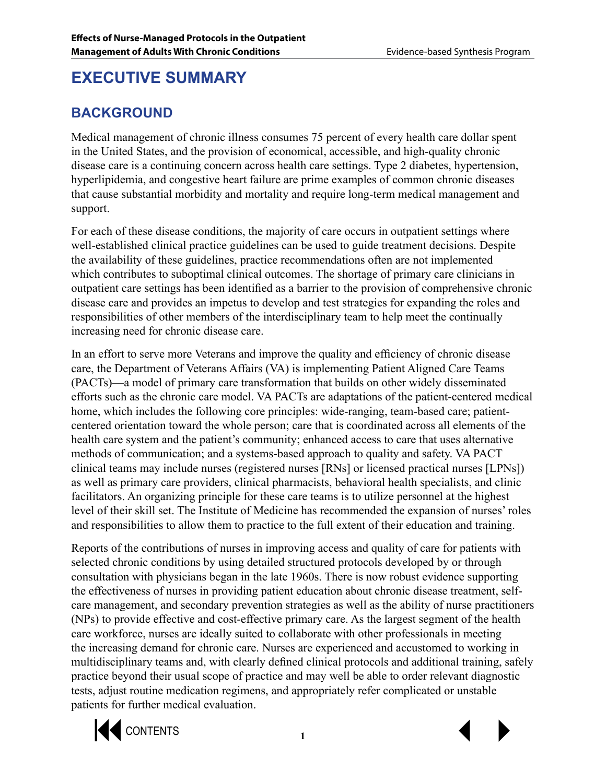# **EXECUTIVE SUMMARY**

#### **BACKGROUND**

Medical management of chronic illness consumes 75 percent of every health care dollar spent in the United States, and the provision of economical, accessible, and high-quality chronic disease care is a continuing concern across health care settings. Type 2 diabetes, hypertension, hyperlipidemia, and congestive heart failure are prime examples of common chronic diseases that cause substantial morbidity and mortality and require long-term medical management and support.

For each of these disease conditions, the majority of care occurs in outpatient settings where well-established clinical practice guidelines can be used to guide treatment decisions. Despite the availability of these guidelines, practice recommendations often are not implemented which contributes to suboptimal clinical outcomes. The shortage of primary care clinicians in outpatient care settings has been identified as a barrier to the provision of comprehensive chronic disease care and provides an impetus to develop and test strategies for expanding the roles and responsibilities of other members of the interdisciplinary team to help meet the continually increasing need for chronic disease care.

In an effort to serve more Veterans and improve the quality and efficiency of chronic disease care, the Department of Veterans Affairs (VA) is implementing Patient Aligned Care Teams (PACTs)—a model of primary care transformation that builds on other widely disseminated efforts such as the chronic care model. VA PACTs are adaptations of the patient-centered medical home, which includes the following core principles: wide-ranging, team-based care; patientcentered orientation toward the whole person; care that is coordinated across all elements of the health care system and the patient's community; enhanced access to care that uses alternative methods of communication; and a systems-based approach to quality and safety. VA PACT clinical teams may include nurses (registered nurses [RNs] or licensed practical nurses [LPNs]) as well as primary care providers, clinical pharmacists, behavioral health specialists, and clinic facilitators. An organizing principle for these care teams is to utilize personnel at the highest level of their skill set. The Institute of Medicine has recommended the expansion of nurses' roles and responsibilities to allow them to practice to the full extent of their education and training.

Reports of the contributions of nurses in improving access and quality of care for patients with selected chronic conditions by using detailed structured protocols developed by or through consultation with physicians began in the late 1960s. There is now robust evidence supporting the effectiveness of nurses in providing patient education about chronic disease treatment, selfcare management, and secondary prevention strategies as well as the ability of nurse practitioners (NPs) to provide effective and cost-effective primary care. As the largest segment of the health care workforce, nurses are ideally suited to collaborate with other professionals in meeting the increasing demand for chronic care. Nurses are experienced and accustomed to working in multidisciplinary teams and, with clearly defined clinical protocols and additional training, safely practice beyond their usual scope of practice and may well be able to order relevant diagnostic tests, adjust routine medication regimens, and appropriately refer complicated or unstable patients for further medical evaluation.



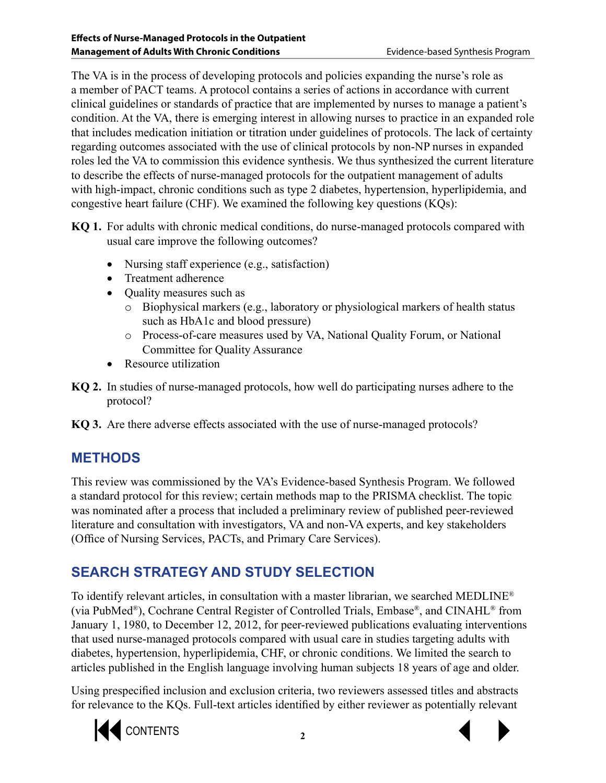The VA is in the process of developing protocols and policies expanding the nurse's role as a member of PACT teams. A protocol contains a series of actions in accordance with current clinical guidelines or standards of practice that are implemented by nurses to manage a patient's condition. At the VA, there is emerging interest in allowing nurses to practice in an expanded role that includes medication initiation or titration under guidelines of protocols. The lack of certainty regarding outcomes associated with the use of clinical protocols by non-NP nurses in expanded roles led the VA to commission this evidence synthesis. We thus synthesized the current literature to describe the effects of nurse-managed protocols for the outpatient management of adults with high-impact, chronic conditions such as type 2 diabetes, hypertension, hyperlipidemia, and congestive heart failure (CHF). We examined the following key questions (KQs):

- **KQ 1.** For adults with chronic medical conditions, do nurse-managed protocols compared with usual care improve the following outcomes?
	- Nursing staff experience (e.g., satisfaction)
	- Treatment adherence
	- Quality measures such as
		- o Biophysical markers (e.g., laboratory or physiological markers of health status such as HbA1c and blood pressure)
		- o Process-of-care measures used by VA, National Quality Forum, or National Committee for Quality Assurance
	- Resource utilization
- **KQ 2.** In studies of nurse-managed protocols, how well do participating nurses adhere to the protocol?
- **KQ 3.** Are there adverse effects associated with the use of nurse-managed protocols?

## **METHODS**

This review was commissioned by the VA's Evidence-based Synthesis Program. We followed a standard protocol for this review; certain methods map to the PRISMA checklist. The topic was nominated after a process that included a preliminary review of published peer-reviewed literature and consultation with investigators, VA and non-VA experts, and key stakeholders (Office of Nursing Services, PACTs, and Primary Care Services).

## **SEARCH STRATEGY AND STUDY SELECTION**

To identify relevant articles, in consultation with a master librarian, we searched MEDLINE® (via PubMed®), Cochrane Central Register of Controlled Trials, Embase®, and CINAHL® from January 1, 1980, to December 12, 2012, for peer-reviewed publications evaluating interventions that used nurse-managed protocols compared with usual care in studies targeting adults with diabetes, hypertension, hyperlipidemia, CHF, or chronic conditions. We limited the search to articles published in the English language involving human subjects 18 years of age and older.

Using prespecified inclusion and exclusion criteria, two reviewers assessed titles and abstracts for relevance to the KQs. Full-text articles identified by either reviewer as potentially relevant



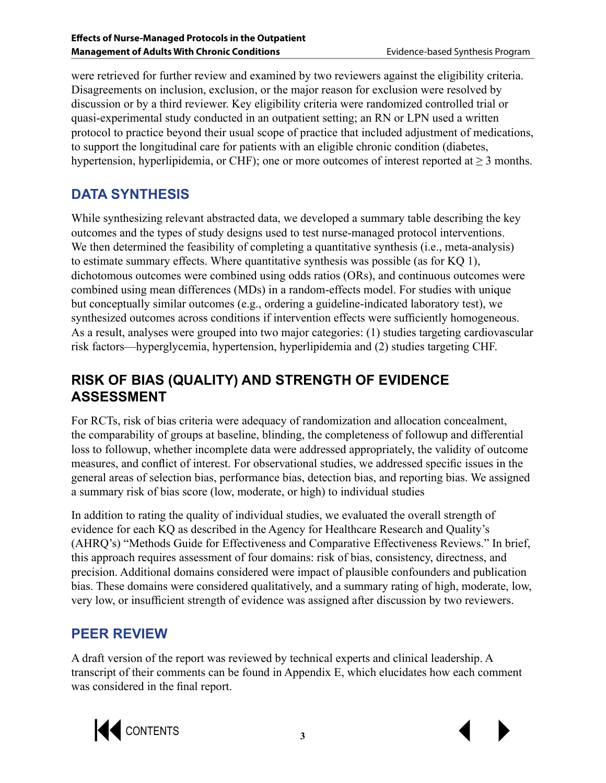were retrieved for further review and examined by two reviewers against the eligibility criteria. Disagreements on inclusion, exclusion, or the major reason for exclusion were resolved by discussion or by a third reviewer. Key eligibility criteria were randomized controlled trial or quasi-experimental study conducted in an outpatient setting; an RN or LPN used a written protocol to practice beyond their usual scope of practice that included adjustment of medications, to support the longitudinal care for patients with an eligible chronic condition (diabetes, hypertension, hyperlipidemia, or CHF); one or more outcomes of interest reported at  $\geq 3$  months.

## **DATA SYNTHESIS**

While synthesizing relevant abstracted data, we developed a summary table describing the key outcomes and the types of study designs used to test nurse-managed protocol interventions. We then determined the feasibility of completing a quantitative synthesis (i.e., meta-analysis) to estimate summary effects. Where quantitative synthesis was possible (as for KQ 1), dichotomous outcomes were combined using odds ratios (ORs), and continuous outcomes were combined using mean differences (MDs) in a random-effects model. For studies with unique but conceptually similar outcomes (e.g., ordering a guideline-indicated laboratory test), we synthesized outcomes across conditions if intervention effects were sufficiently homogeneous. As a result, analyses were grouped into two major categories: (1) studies targeting cardiovascular risk factors—hyperglycemia, hypertension, hyperlipidemia and (2) studies targeting CHF.

#### **RISK OF BIAS (QUALITY) AND STRENGTH OF EVIDENCE ASSESSMENT**

For RCTs, risk of bias criteria were adequacy of randomization and allocation concealment, the comparability of groups at baseline, blinding, the completeness of followup and differential loss to followup, whether incomplete data were addressed appropriately, the validity of outcome measures, and conflict of interest. For observational studies, we addressed specific issues in the general areas of selection bias, performance bias, detection bias, and reporting bias. We assigned a summary risk of bias score (low, moderate, or high) to individual studies

In addition to rating the quality of individual studies, we evaluated the overall strength of evidence for each KQ as described in the Agency for Healthcare Research and Quality's (AHRQ's) "Methods Guide for Effectiveness and Comparative Effectiveness Reviews." In brief, this approach requires assessment of four domains: risk of bias, consistency, directness, and precision. Additional domains considered were impact of plausible confounders and publication bias. These domains were considered qualitatively, and a summary rating of high, moderate, low, very low, or insufficient strength of evidence was assigned after discussion by two reviewers.

#### **PEER REVIEW**

A draft version of the report was reviewed by technical experts and clinical leadership. A transcript of their comments can be found in Appendix E, which elucidates how each comment was considered in the final report.

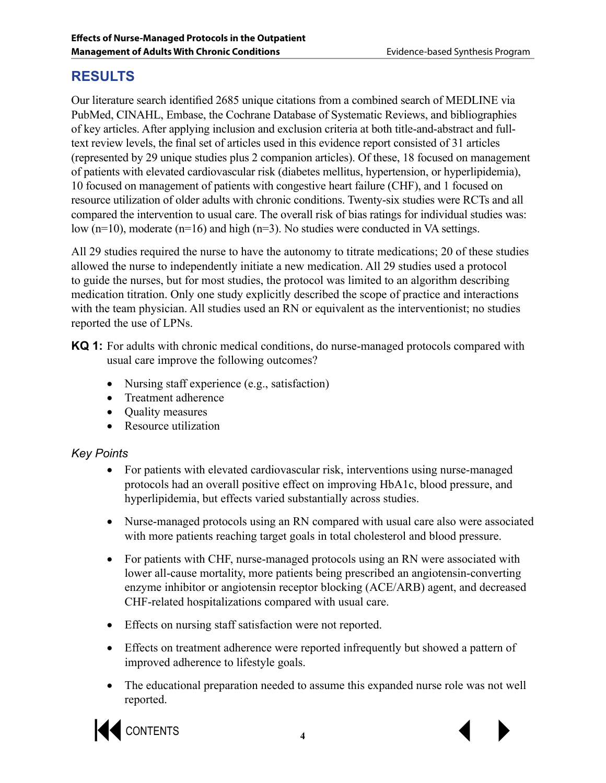#### **RESULTS**

Our literature search identified 2685 unique citations from a combined search of MEDLINE via PubMed, CINAHL, Embase, the Cochrane Database of Systematic Reviews, and bibliographies of key articles. After applying inclusion and exclusion criteria at both title-and-abstract and fulltext review levels, the final set of articles used in this evidence report consisted of 31 articles (represented by 29 unique studies plus 2 companion articles). Of these, 18 focused on management of patients with elevated cardiovascular risk (diabetes mellitus, hypertension, or hyperlipidemia), 10 focused on management of patients with congestive heart failure (CHF), and 1 focused on resource utilization of older adults with chronic conditions. Twenty-six studies were RCTs and all compared the intervention to usual care. The overall risk of bias ratings for individual studies was: low (n=10), moderate (n=16) and high (n=3). No studies were conducted in VA settings.

All 29 studies required the nurse to have the autonomy to titrate medications; 20 of these studies allowed the nurse to independently initiate a new medication. All 29 studies used a protocol to guide the nurses, but for most studies, the protocol was limited to an algorithm describing medication titration. Only one study explicitly described the scope of practice and interactions with the team physician. All studies used an RN or equivalent as the interventionist; no studies reported the use of LPNs.

**KQ 1:** For adults with chronic medical conditions, do nurse-managed protocols compared with usual care improve the following outcomes?

- Nursing staff experience (e.g., satisfaction)
- Treatment adherence
- Quality measures
- Resource utilization

#### *Key Points*

- For patients with elevated cardiovascular risk, interventions using nurse-managed protocols had an overall positive effect on improving HbA1c, blood pressure, and hyperlipidemia, but effects varied substantially across studies.
- Nurse-managed protocols using an RN compared with usual care also were associated with more patients reaching target goals in total cholesterol and blood pressure.
- For patients with CHF, nurse-managed protocols using an RN were associated with lower all-cause mortality, more patients being prescribed an angiotensin-converting enzyme inhibitor or angiotensin receptor blocking (ACE/ARB) agent, and decreased CHF-related hospitalizations compared with usual care.
- Effects on nursing staff satisfaction were not reported.
- Effects on treatment adherence were reported infrequently but showed a pattern of improved adherence to lifestyle goals.
- The educational preparation needed to assume this expanded nurse role was not well reported.



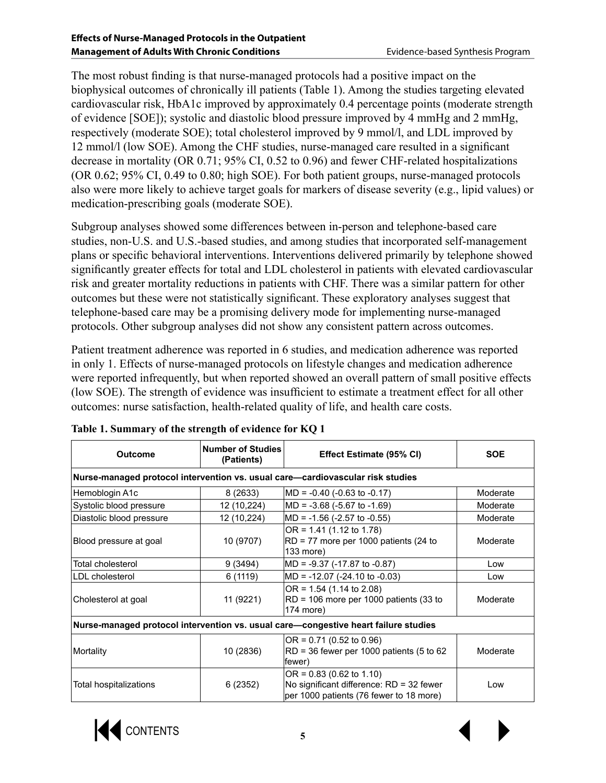The most robust finding is that nurse-managed protocols had a positive impact on the biophysical outcomes of chronically ill patients (Table 1). Among the studies targeting elevated cardiovascular risk, HbA1c improved by approximately 0.4 percentage points (moderate strength of evidence [SOE]); systolic and diastolic blood pressure improved by 4 mmHg and 2 mmHg, respectively (moderate SOE); total cholesterol improved by 9 mmol/l, and LDL improved by 12 mmol/l (low SOE). Among the CHF studies, nurse-managed care resulted in a significant decrease in mortality (OR 0.71; 95% CI, 0.52 to 0.96) and fewer CHF-related hospitalizations (OR 0.62; 95% CI, 0.49 to 0.80; high SOE). For both patient groups, nurse-managed protocols also were more likely to achieve target goals for markers of disease severity (e.g., lipid values) or medication-prescribing goals (moderate SOE).

Subgroup analyses showed some differences between in-person and telephone-based care studies, non-U.S. and U.S.-based studies, and among studies that incorporated self-management plans or specific behavioral interventions. Interventions delivered primarily by telephone showed significantly greater effects for total and LDL cholesterol in patients with elevated cardiovascular risk and greater mortality reductions in patients with CHF. There was a similar pattern for other outcomes but these were not statistically significant. These exploratory analyses suggest that telephone-based care may be a promising delivery mode for implementing nurse-managed protocols. Other subgroup analyses did not show any consistent pattern across outcomes.

Patient treatment adherence was reported in 6 studies, and medication adherence was reported in only 1. Effects of nurse-managed protocols on lifestyle changes and medication adherence were reported infrequently, but when reported showed an overall pattern of small positive effects (low SOE). The strength of evidence was insufficient to estimate a treatment effect for all other outcomes: nurse satisfaction, health-related quality of life, and health care costs.

| <b>Outcome</b>           | <b>Number of Studies</b><br>(Patients) | Effect Estimate (95% CI)                                                                                          | <b>SOE</b> |
|--------------------------|----------------------------------------|-------------------------------------------------------------------------------------------------------------------|------------|
|                          |                                        | Nurse-managed protocol intervention vs. usual care-cardiovascular risk studies                                    |            |
| Hemoblogin A1c           | 8 (2633)                               | $MD = -0.40 (-0.63 to -0.17)$                                                                                     | Moderate   |
| Systolic blood pressure  | 12 (10,224)                            | $MD = -3.68 (-5.67 to -1.69)$                                                                                     | Moderate   |
| Diastolic blood pressure | 12 (10,224)                            | $MD = -1.56 (-2.57 to -0.55)$                                                                                     | Moderate   |
| Blood pressure at goal   | 10 (9707)                              | $OR = 1.41 (1.12 to 1.78)$<br>$RD = 77$ more per 1000 patients (24 to<br>133 more)                                | Moderate   |
| Total cholesterol        | 9 (3494)                               | $MD = -9.37 (-17.87 to -0.87)$                                                                                    | Low        |
| LDL cholesterol          | 6 (1119)                               | $MD = -12.07 (-24.10 to -0.03)$                                                                                   | Low        |
| Cholesterol at goal      | 11 (9221)                              | $OR = 1.54$ (1.14 to 2.08)<br>$RD = 106$ more per 1000 patients (33 to<br>174 more)                               | Moderate   |
|                          |                                        | Nurse-managed protocol intervention vs. usual care-congestive heart failure studies                               |            |
| Mortality                | 10 (2836)                              | $OR = 0.71 (0.52 to 0.96)$<br>$RD = 36$ fewer per 1000 patients (5 to 62<br>lfewer)                               | Moderate   |
| Total hospitalizations   | 6 (2352)                               | $OR = 0.83$ (0.62 to 1.10)<br>No significant difference: RD = 32 fewer<br>per 1000 patients (76 fewer to 18 more) | Low        |

|  | Table 1. Summary of the strength of evidence for KQ 1 |  |
|--|-------------------------------------------------------|--|
|  |                                                       |  |

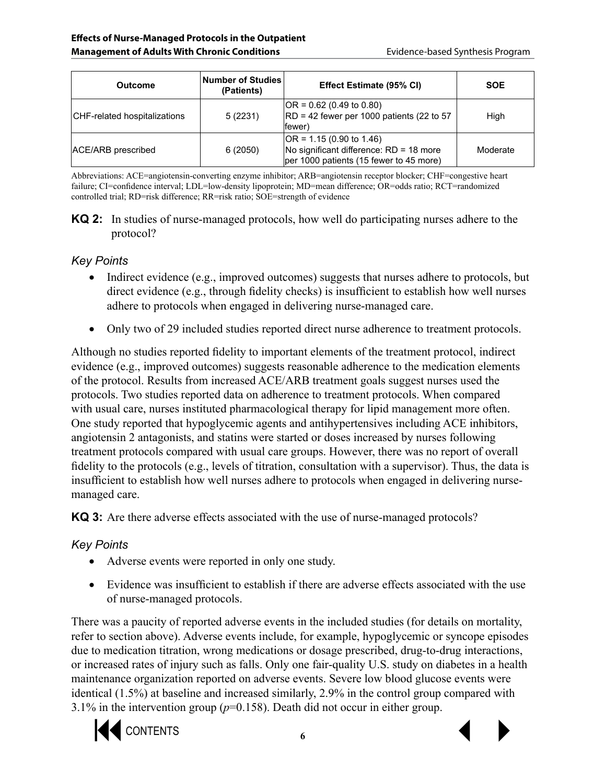| <b>Outcome</b>               | <b>Number of Studies</b><br>(Patients) | Effect Estimate (95% CI)                                                                                          | <b>SOE</b> |
|------------------------------|----------------------------------------|-------------------------------------------------------------------------------------------------------------------|------------|
| CHF-related hospitalizations | 5(2231)                                | $ OR = 0.62$ (0.49 to 0.80)<br>$ RD = 42$ fewer per 1000 patients (22 to 57)<br>fewer)                            | High       |
| ACE/ARB prescribed           | 6(2050)                                | $ OR = 1.15 (0.90 to 1.46)$<br>No significant difference: RD = 18 more<br>per 1000 patients (15 fewer to 45 more) | Moderate   |

Abbreviations: ACE=angiotensin-converting enzyme inhibitor; ARB=angiotensin receptor blocker; CHF=congestive heart failure; CI=confidence interval; LDL=low-density lipoprotein; MD=mean difference; OR=odds ratio; RCT=randomized controlled trial; RD=risk difference; RR=risk ratio; SOE=strength of evidence

**KQ 2:** In studies of nurse-managed protocols, how well do participating nurses adhere to the protocol?

#### *Key Points*

- Indirect evidence (e.g., improved outcomes) suggests that nurses adhere to protocols, but direct evidence (e.g., through fidelity checks) is insufficient to establish how well nurses adhere to protocols when engaged in delivering nurse-managed care.
- Only two of 29 included studies reported direct nurse adherence to treatment protocols.

Although no studies reported fidelity to important elements of the treatment protocol, indirect evidence (e.g., improved outcomes) suggests reasonable adherence to the medication elements of the protocol. Results from increased ACE/ARB treatment goals suggest nurses used the protocols. Two studies reported data on adherence to treatment protocols. When compared with usual care, nurses instituted pharmacological therapy for lipid management more often. One study reported that hypoglycemic agents and antihypertensives including ACE inhibitors, angiotensin 2 antagonists, and statins were started or doses increased by nurses following treatment protocols compared with usual care groups. However, there was no report of overall fidelity to the protocols (e.g., levels of titration, consultation with a supervisor). Thus, the data is insufficient to establish how well nurses adhere to protocols when engaged in delivering nursemanaged care.

**KQ 3:** Are there adverse effects associated with the use of nurse-managed protocols?

#### *Key Points*

- Adverse events were reported in only one study.
- Evidence was insufficient to establish if there are adverse effects associated with the use of nurse-managed protocols.

There was a paucity of reported adverse events in the included studies (for details on mortality, refer to section above). Adverse events include, for example, hypoglycemic or syncope episodes due to medication titration, wrong medications or dosage prescribed, drug-to-drug interactions, or increased rates of injury such as falls. Only one fair-quality U.S. study on diabetes in a health maintenance organization reported on adverse events. Severe low blood glucose events were identical (1.5%) at baseline and increased similarly, 2.9% in the control group compared with 3.1% in the intervention group ( $p=0.158$ ). Death did not occur in either group.



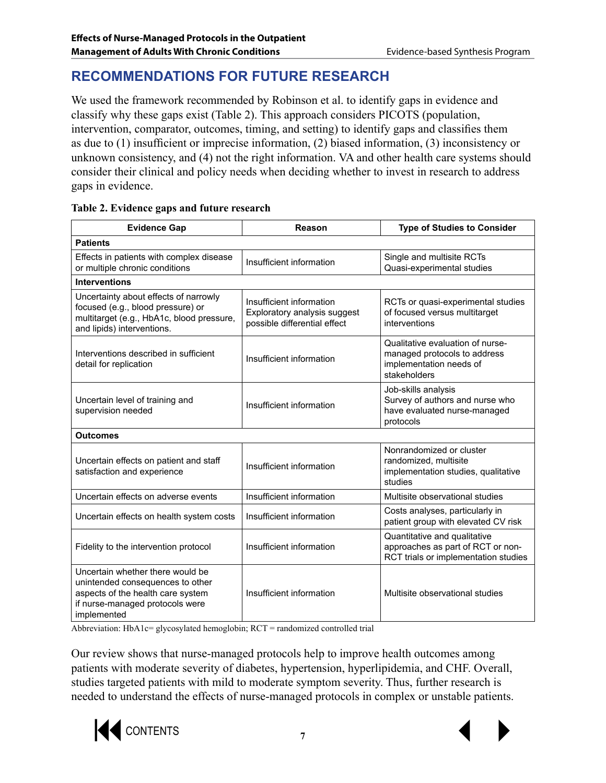#### **RECOMMENDATIONS FOR FUTURE RESEARCH**

We used the framework recommended by Robinson et al. to identify gaps in evidence and classify why these gaps exist (Table 2). This approach considers PICOTS (population, intervention, comparator, outcomes, timing, and setting) to identify gaps and classifies them as due to (1) insufficient or imprecise information, (2) biased information, (3) inconsistency or unknown consistency, and (4) not the right information. VA and other health care systems should consider their clinical and policy needs when deciding whether to invest in research to address gaps in evidence.

|  | Table 2. Evidence gaps and future research |  |  |  |
|--|--------------------------------------------|--|--|--|
|--|--------------------------------------------|--|--|--|

| <b>Evidence Gap</b>                                                                                                                                         | Reason                                                                                   | <b>Type of Studies to Consider</b>                                                                          |  |
|-------------------------------------------------------------------------------------------------------------------------------------------------------------|------------------------------------------------------------------------------------------|-------------------------------------------------------------------------------------------------------------|--|
| <b>Patients</b>                                                                                                                                             |                                                                                          |                                                                                                             |  |
| Effects in patients with complex disease<br>or multiple chronic conditions                                                                                  | Insufficient information                                                                 | Single and multisite RCTs<br>Quasi-experimental studies                                                     |  |
| <b>Interventions</b>                                                                                                                                        |                                                                                          |                                                                                                             |  |
| Uncertainty about effects of narrowly<br>focused (e.g., blood pressure) or<br>multitarget (e.g., HbA1c, blood pressure,<br>and lipids) interventions.       | Insufficient information<br>Exploratory analysis suggest<br>possible differential effect | RCTs or quasi-experimental studies<br>of focused versus multitarget<br>interventions                        |  |
| Interventions described in sufficient<br>detail for replication                                                                                             | Insufficient information                                                                 | Qualitative evaluation of nurse-<br>managed protocols to address<br>implementation needs of<br>stakeholders |  |
| Uncertain level of training and<br>supervision needed                                                                                                       | Insufficient information                                                                 | Job-skills analysis<br>Survey of authors and nurse who<br>have evaluated nurse-managed<br>protocols         |  |
| <b>Outcomes</b>                                                                                                                                             |                                                                                          |                                                                                                             |  |
| Uncertain effects on patient and staff<br>satisfaction and experience                                                                                       | Insufficient information                                                                 | Nonrandomized or cluster<br>randomized, multisite<br>implementation studies, qualitative<br>studies         |  |
| Uncertain effects on adverse events                                                                                                                         | Insufficient information                                                                 | Multisite observational studies                                                                             |  |
| Uncertain effects on health system costs                                                                                                                    | Insufficient information                                                                 | Costs analyses, particularly in<br>patient group with elevated CV risk                                      |  |
| Fidelity to the intervention protocol                                                                                                                       | Insufficient information                                                                 | Quantitative and qualitative<br>approaches as part of RCT or non-<br>RCT trials or implementation studies   |  |
| Uncertain whether there would be<br>unintended consequences to other<br>aspects of the health care system<br>if nurse-managed protocols were<br>implemented | Insufficient information                                                                 | Multisite observational studies                                                                             |  |

Abbreviation: HbA1c= glycosylated hemoglobin; RCT = randomized controlled trial

Our review shows that nurse-managed protocols help to improve health outcomes among patients with moderate severity of diabetes, hypertension, hyperlipidemia, and CHF. Overall, studies targeted patients with mild to moderate symptom severity. Thus, further research is needed to understand the effects of nurse-managed protocols in complex or unstable patients.



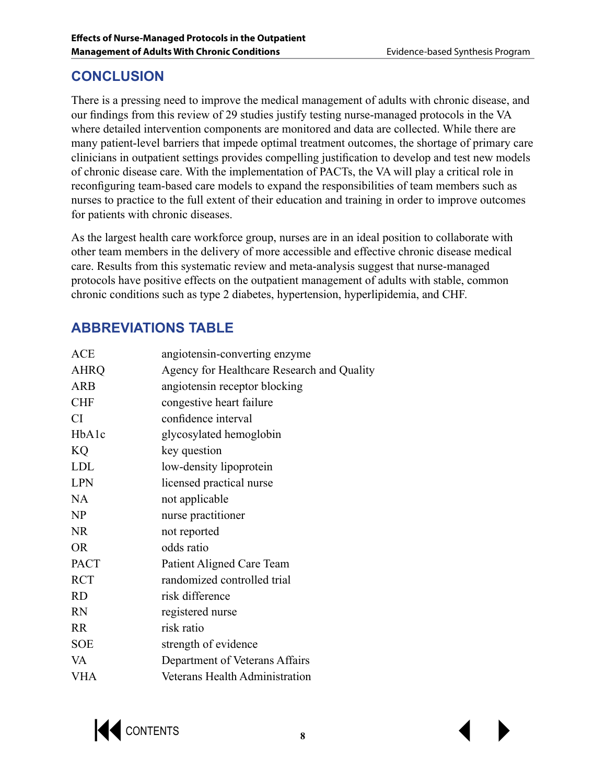#### **CONCLUSION**

There is a pressing need to improve the medical management of adults with chronic disease, and our findings from this review of 29 studies justify testing nurse-managed protocols in the VA where detailed intervention components are monitored and data are collected. While there are many patient-level barriers that impede optimal treatment outcomes, the shortage of primary care clinicians in outpatient settings provides compelling justification to develop and test new models of chronic disease care. With the implementation of PACTs, the VA will play a critical role in reconfiguring team-based care models to expand the responsibilities of team members such as nurses to practice to the full extent of their education and training in order to improve outcomes for patients with chronic diseases.

As the largest health care workforce group, nurses are in an ideal position to collaborate with other team members in the delivery of more accessible and effective chronic disease medical care. Results from this systematic review and meta-analysis suggest that nurse-managed protocols have positive effects on the outpatient management of adults with stable, common chronic conditions such as type 2 diabetes, hypertension, hyperlipidemia, and CHF.

## **ABBREVIATIONS TABLE**

| <b>ACE</b>  | angiotensin-converting enzyme              |
|-------------|--------------------------------------------|
| <b>AHRQ</b> | Agency for Healthcare Research and Quality |
| <b>ARB</b>  | angiotensin receptor blocking              |
| <b>CHF</b>  | congestive heart failure                   |
| <b>CI</b>   | confidence interval                        |
| HbAlc       | glycosylated hemoglobin                    |
| KQ          | key question                               |
| <b>LDL</b>  | low-density lipoprotein                    |
| <b>LPN</b>  | licensed practical nurse                   |
| <b>NA</b>   | not applicable                             |
| NP          | nurse practitioner                         |
| <b>NR</b>   | not reported                               |
| <b>OR</b>   | odds ratio                                 |
| <b>PACT</b> | Patient Aligned Care Team                  |
| <b>RCT</b>  | randomized controlled trial                |
| <b>RD</b>   | risk difference                            |
| <b>RN</b>   | registered nurse                           |
| <b>RR</b>   | risk ratio                                 |
| <b>SOE</b>  | strength of evidence                       |
| VA          | Department of Veterans Affairs             |
| <b>VHA</b>  | <b>Veterans Health Administration</b>      |
|             |                                            |